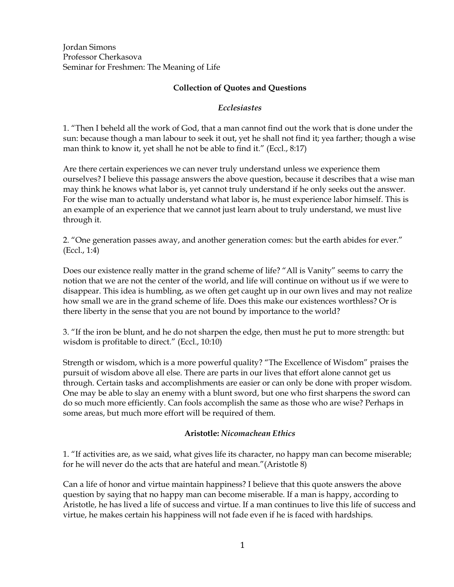Jordan Simons Professor Cherkasova Seminar for Freshmen: The Meaning of Life

### **Collection of Quotes and Questions**

#### *Ecclesiastes*

1. "Then I beheld all the work of God, that a man cannot find out the work that is done under the sun: because though a man labour to seek it out, yet he shall not find it; yea farther; though a wise man think to know it, yet shall he not be able to find it." (Eccl., 8:17)

Are there certain experiences we can never truly understand unless we experience them ourselves? I believe this passage answers the above question, because it describes that a wise man may think he knows what labor is, yet cannot truly understand if he only seeks out the answer. For the wise man to actually understand what labor is, he must experience labor himself. This is an example of an experience that we cannot just learn about to truly understand, we must live through it.

2. "One generation passes away, and another generation comes: but the earth abides for ever." (Eccl., 1:4)

Does our existence really matter in the grand scheme of life? "All is Vanity" seems to carry the notion that we are not the center of the world, and life will continue on without us if we were to disappear. This idea is humbling, as we often get caught up in our own lives and may not realize how small we are in the grand scheme of life. Does this make our existences worthless? Or is there liberty in the sense that you are not bound by importance to the world?

3. "If the iron be blunt, and he do not sharpen the edge, then must he put to more strength: but wisdom is profitable to direct." (Eccl., 10:10)

Strength or wisdom, which is a more powerful quality? "The Excellence of Wisdom" praises the pursuit of wisdom above all else. There are parts in our lives that effort alone cannot get us through. Certain tasks and accomplishments are easier or can only be done with proper wisdom. One may be able to slay an enemy with a blunt sword, but one who first sharpens the sword can do so much more efficiently. Can fools accomplish the same as those who are wise? Perhaps in some areas, but much more effort will be required of them.

#### **Aristotle:** *Nicomachean Ethics*

1. "If activities are, as we said, what gives life its character, no happy man can become miserable; for he will never do the acts that are hateful and mean."(Aristotle 8)

Can a life of honor and virtue maintain happiness? I believe that this quote answers the above question by saying that no happy man can become miserable. If a man is happy, according to Aristotle, he has lived a life of success and virtue. If a man continues to live this life of success and virtue, he makes certain his happiness will not fade even if he is faced with hardships.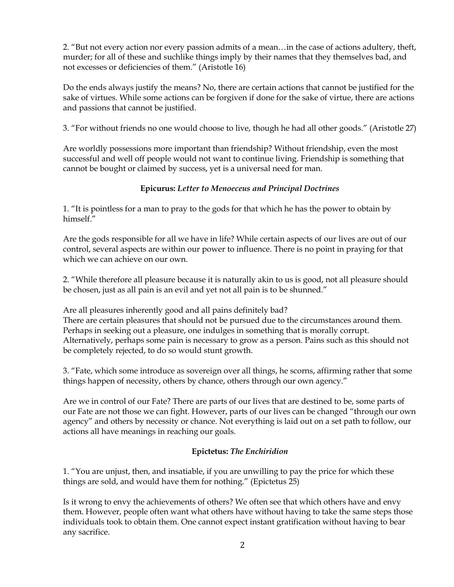2. "But not every action nor every passion admits of a mean…in the case of actions adultery, theft, murder; for all of these and suchlike things imply by their names that they themselves bad, and not excesses or deficiencies of them." (Aristotle 16)

Do the ends always justify the means? No, there are certain actions that cannot be justified for the sake of virtues. While some actions can be forgiven if done for the sake of virtue, there are actions and passions that cannot be justified.

3. "For without friends no one would choose to live, though he had all other goods." (Aristotle 27)

Are worldly possessions more important than friendship? Without friendship, even the most successful and well off people would not want to continue living. Friendship is something that cannot be bought or claimed by success, yet is a universal need for man.

### **Epicurus:** *Letter to Menoeceus and Principal Doctrines*

1. "It is pointless for a man to pray to the gods for that which he has the power to obtain by himself."

Are the gods responsible for all we have in life? While certain aspects of our lives are out of our control, several aspects are within our power to influence. There is no point in praying for that which we can achieve on our own.

2. "While therefore all pleasure because it is naturally akin to us is good, not all pleasure should be chosen, just as all pain is an evil and yet not all pain is to be shunned."

Are all pleasures inherently good and all pains definitely bad? There are certain pleasures that should not be pursued due to the circumstances around them. Perhaps in seeking out a pleasure, one indulges in something that is morally corrupt. Alternatively, perhaps some pain is necessary to grow as a person. Pains such as this should not be completely rejected, to do so would stunt growth.

3. "Fate, which some introduce as sovereign over all things, he scorns, affirming rather that some things happen of necessity, others by chance, others through our own agency."

Are we in control of our Fate? There are parts of our lives that are destined to be, some parts of our Fate are not those we can fight. However, parts of our lives can be changed "through our own agency" and others by necessity or chance. Not everything is laid out on a set path to follow, our actions all have meanings in reaching our goals.

#### **Epictetus:** *The Enchiridion*

1. "You are unjust, then, and insatiable, if you are unwilling to pay the price for which these things are sold, and would have them for nothing." (Epictetus 25)

Is it wrong to envy the achievements of others? We often see that which others have and envy them. However, people often want what others have without having to take the same steps those individuals took to obtain them. One cannot expect instant gratification without having to bear any sacrifice.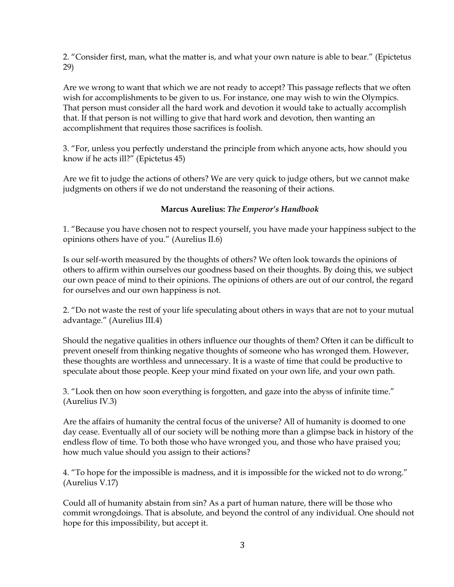2. "Consider first, man, what the matter is, and what your own nature is able to bear." (Epictetus 29)

Are we wrong to want that which we are not ready to accept? This passage reflects that we often wish for accomplishments to be given to us. For instance, one may wish to win the Olympics. That person must consider all the hard work and devotion it would take to actually accomplish that. If that person is not willing to give that hard work and devotion, then wanting an accomplishment that requires those sacrifices is foolish.

3. "For, unless you perfectly understand the principle from which anyone acts, how should you know if he acts ill?" (Epictetus 45)

Are we fit to judge the actions of others? We are very quick to judge others, but we cannot make judgments on others if we do not understand the reasoning of their actions.

## **Marcus Aurelius:** *The Emperor's Handbook*

1. "Because you have chosen not to respect yourself, you have made your happiness subject to the opinions others have of you." (Aurelius II.6)

Is our self-worth measured by the thoughts of others? We often look towards the opinions of others to affirm within ourselves our goodness based on their thoughts. By doing this, we subject our own peace of mind to their opinions. The opinions of others are out of our control, the regard for ourselves and our own happiness is not.

2. "Do not waste the rest of your life speculating about others in ways that are not to your mutual advantage." (Aurelius III.4)

Should the negative qualities in others influence our thoughts of them? Often it can be difficult to prevent oneself from thinking negative thoughts of someone who has wronged them. However, these thoughts are worthless and unnecessary. It is a waste of time that could be productive to speculate about those people. Keep your mind fixated on your own life, and your own path.

3. "Look then on how soon everything is forgotten, and gaze into the abyss of infinite time." (Aurelius IV.3)

Are the affairs of humanity the central focus of the universe? All of humanity is doomed to one day cease. Eventually all of our society will be nothing more than a glimpse back in history of the endless flow of time. To both those who have wronged you, and those who have praised you; how much value should you assign to their actions?

4. "To hope for the impossible is madness, and it is impossible for the wicked not to do wrong." (Aurelius V.17)

Could all of humanity abstain from sin? As a part of human nature, there will be those who commit wrongdoings. That is absolute, and beyond the control of any individual. One should not hope for this impossibility, but accept it.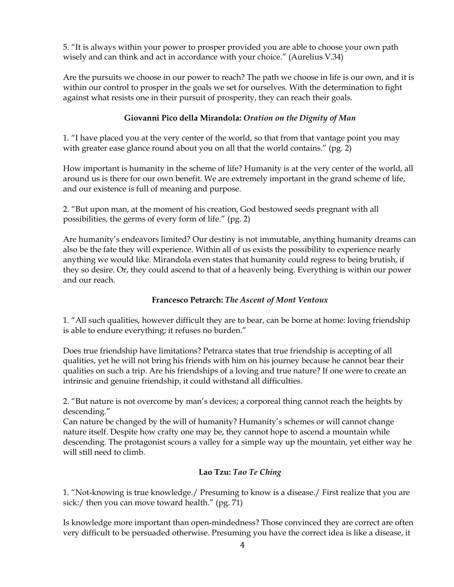5. "It is always within your power to prosper provided you are able to choose your own path wisely and can think and act in accordance with your choice." (Aurelius V.34)

Are the pursuits we choose in our power to reach? The path we choose in life is our own, and it is within our control to prosper in the goals we set for ourselves. With the determination to fight against what resists one in their pursuit of prosperity, they can reach their goals.

### **Giovanni Pico della Mirandola:** *Oration on the Dignity of Man*

1. "I have placed you at the very center of the world, so that from that vantage point you may with greater ease glance round about you on all that the world contains." (pg. 2)

How important is humanity in the scheme of life? Humanity is at the very center of the world, all around us is there for our own benefit. We are extremely important in the grand scheme of life, and our existence is full of meaning and purpose.

2. "But upon man, at the moment of his creation, God bestowed seeds pregnant with all possibilities, the germs of every form of life." (pg. 2)

Are humanity's endeavors limited? Our destiny is not immutable, anything humanity dreams can also be the fate they will experience. Within all of us exists the possibility to experience nearly anything we would like. Mirandola even states that humanity could regress to being brutish, if they so desire. Or, they could ascend to that of a heavenly being. Everything is within our power and our reach.

#### **Francesco Petrarch:** *The Ascent of Mont Ventoux*

1. "All such qualities, however difficult they are to bear, can be borne at home: loving friendship is able to endure everything; it refuses no burden."

Does true friendship have limitations? Petrarca states that true friendship is accepting of all qualities, yet he will not bring his friends with him on his journey because he cannot bear their qualities on such a trip. Are his friendships of a loving and true nature? If one were to create an intrinsic and genuine friendship, it could withstand all difficulties.

2. "But nature is not overcome by man's devices; a corporeal thing cannot reach the heights by descending."

Can nature be changed by the will of humanity? Humanity's schemes or will cannot change nature itself. Despite how crafty one may be, they cannot hope to ascend a mountain while descending. The protagonist scours a valley for a simple way up the mountain, yet either way he will still need to climb.

## **Lao Tzu:** *Tao Te Ching*

1. "Not-knowing is true knowledge./ Presuming to know is a disease./ First realize that you are sick:/ then you can move toward health." (pg. 71)

Is knowledge more important than open-mindedness? Those convinced they are correct are often very difficult to be persuaded otherwise. Presuming you have the correct idea is like a disease, it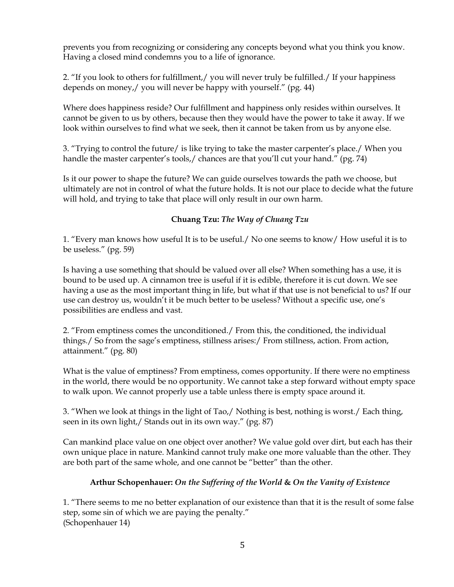prevents you from recognizing or considering any concepts beyond what you think you know. Having a closed mind condemns you to a life of ignorance.

2. "If you look to others for fulfillment,/ you will never truly be fulfilled./ If your happiness depends on money,/ you will never be happy with yourself." (pg. 44)

Where does happiness reside? Our fulfillment and happiness only resides within ourselves. It cannot be given to us by others, because then they would have the power to take it away. If we look within ourselves to find what we seek, then it cannot be taken from us by anyone else.

3. "Trying to control the future/ is like trying to take the master carpenter's place./ When you handle the master carpenter's tools,/ chances are that you'll cut your hand." (pg. 74)

Is it our power to shape the future? We can guide ourselves towards the path we choose, but ultimately are not in control of what the future holds. It is not our place to decide what the future will hold, and trying to take that place will only result in our own harm.

# **Chuang Tzu:** *The Way of Chuang Tzu*

1. "Every man knows how useful It is to be useful./ No one seems to know/ How useful it is to be useless." (pg. 59)

Is having a use something that should be valued over all else? When something has a use, it is bound to be used up. A cinnamon tree is useful if it is edible, therefore it is cut down. We see having a use as the most important thing in life, but what if that use is not beneficial to us? If our use can destroy us, wouldn't it be much better to be useless? Without a specific use, one's possibilities are endless and vast.

2. "From emptiness comes the unconditioned./ From this, the conditioned, the individual things./ So from the sage's emptiness, stillness arises:/ From stillness, action. From action, attainment." (pg. 80)

What is the value of emptiness? From emptiness, comes opportunity. If there were no emptiness in the world, there would be no opportunity. We cannot take a step forward without empty space to walk upon. We cannot properly use a table unless there is empty space around it.

3. "When we look at things in the light of Tao,/ Nothing is best, nothing is worst./ Each thing, seen in its own light,/ Stands out in its own way." (pg. 87)

Can mankind place value on one object over another? We value gold over dirt, but each has their own unique place in nature. Mankind cannot truly make one more valuable than the other. They are both part of the same whole, and one cannot be "better" than the other.

## **Arthur Schopenhauer:** *On the Suffering of the World* **&** *On the Vanity of Existence*

1. "There seems to me no better explanation of our existence than that it is the result of some false step, some sin of which we are paying the penalty." (Schopenhauer 14)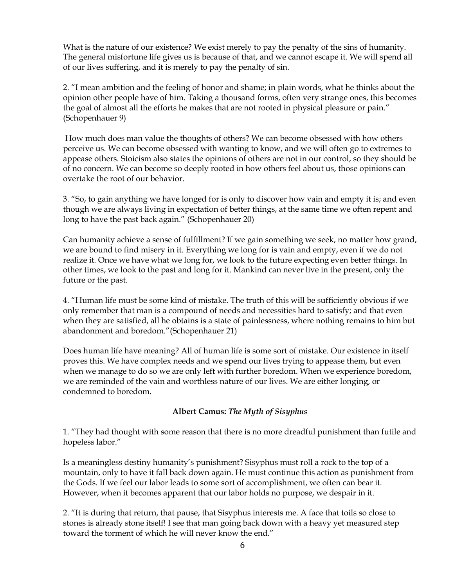What is the nature of our existence? We exist merely to pay the penalty of the sins of humanity. The general misfortune life gives us is because of that, and we cannot escape it. We will spend all of our lives suffering, and it is merely to pay the penalty of sin.

2. "I mean ambition and the feeling of honor and shame; in plain words, what he thinks about the opinion other people have of him. Taking a thousand forms, often very strange ones, this becomes the goal of almost all the efforts he makes that are not rooted in physical pleasure or pain." (Schopenhauer 9)

How much does man value the thoughts of others? We can become obsessed with how others perceive us. We can become obsessed with wanting to know, and we will often go to extremes to appease others. Stoicism also states the opinions of others are not in our control, so they should be of no concern. We can become so deeply rooted in how others feel about us, those opinions can overtake the root of our behavior.

3. "So, to gain anything we have longed for is only to discover how vain and empty it is; and even though we are always living in expectation of better things, at the same time we often repent and long to have the past back again." (Schopenhauer 20)

Can humanity achieve a sense of fulfillment? If we gain something we seek, no matter how grand, we are bound to find misery in it. Everything we long for is vain and empty, even if we do not realize it. Once we have what we long for, we look to the future expecting even better things. In other times, we look to the past and long for it. Mankind can never live in the present, only the future or the past.

4. "Human life must be some kind of mistake. The truth of this will be sufficiently obvious if we only remember that man is a compound of needs and necessities hard to satisfy; and that even when they are satisfied, all he obtains is a state of painlessness, where nothing remains to him but abandonment and boredom."(Schopenhauer 21)

Does human life have meaning? All of human life is some sort of mistake. Our existence in itself proves this. We have complex needs and we spend our lives trying to appease them, but even when we manage to do so we are only left with further boredom. When we experience boredom, we are reminded of the vain and worthless nature of our lives. We are either longing, or condemned to boredom.

## **Albert Camus:** *The Myth of Sisyphus*

1. "They had thought with some reason that there is no more dreadful punishment than futile and hopeless labor."

Is a meaningless destiny humanity's punishment? Sisyphus must roll a rock to the top of a mountain, only to have it fall back down again. He must continue this action as punishment from the Gods. If we feel our labor leads to some sort of accomplishment, we often can bear it. However, when it becomes apparent that our labor holds no purpose, we despair in it.

2. "It is during that return, that pause, that Sisyphus interests me. A face that toils so close to stones is already stone itself! I see that man going back down with a heavy yet measured step toward the torment of which he will never know the end."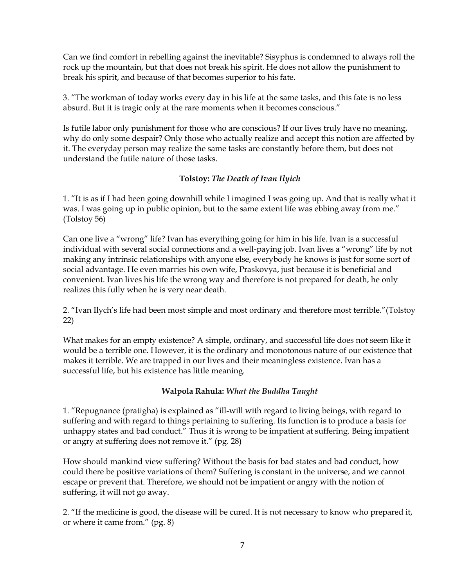Can we find comfort in rebelling against the inevitable? Sisyphus is condemned to always roll the rock up the mountain, but that does not break his spirit. He does not allow the punishment to break his spirit, and because of that becomes superior to his fate.

3. "The workman of today works every day in his life at the same tasks, and this fate is no less absurd. But it is tragic only at the rare moments when it becomes conscious."

Is futile labor only punishment for those who are conscious? If our lives truly have no meaning, why do only some despair? Only those who actually realize and accept this notion are affected by it. The everyday person may realize the same tasks are constantly before them, but does not understand the futile nature of those tasks.

### **Tolstoy:** *The Death of Ivan Ilyich*

1. "It is as if I had been going downhill while I imagined I was going up. And that is really what it was. I was going up in public opinion, but to the same extent life was ebbing away from me." (Tolstoy 56)

Can one live a "wrong" life? Ivan has everything going for him in his life. Ivan is a successful individual with several social connections and a well-paying job. Ivan lives a "wrong" life by not making any intrinsic relationships with anyone else, everybody he knows is just for some sort of social advantage. He even marries his own wife, Praskovya, just because it is beneficial and convenient. Ivan lives his life the wrong way and therefore is not prepared for death, he only realizes this fully when he is very near death.

2. "Ivan Ilych's life had been most simple and most ordinary and therefore most terrible."(Tolstoy 22)

What makes for an empty existence? A simple, ordinary, and successful life does not seem like it would be a terrible one. However, it is the ordinary and monotonous nature of our existence that makes it terrible. We are trapped in our lives and their meaningless existence. Ivan has a successful life, but his existence has little meaning.

#### **Walpola Rahula:** *What the Buddha Taught*

1. "Repugnance (pratigha) is explained as "ill-will with regard to living beings, with regard to suffering and with regard to things pertaining to suffering. Its function is to produce a basis for unhappy states and bad conduct." Thus it is wrong to be impatient at suffering. Being impatient or angry at suffering does not remove it." (pg. 28)

How should mankind view suffering? Without the basis for bad states and bad conduct, how could there be positive variations of them? Suffering is constant in the universe, and we cannot escape or prevent that. Therefore, we should not be impatient or angry with the notion of suffering, it will not go away.

2. "If the medicine is good, the disease will be cured. It is not necessary to know who prepared it, or where it came from." (pg. 8)